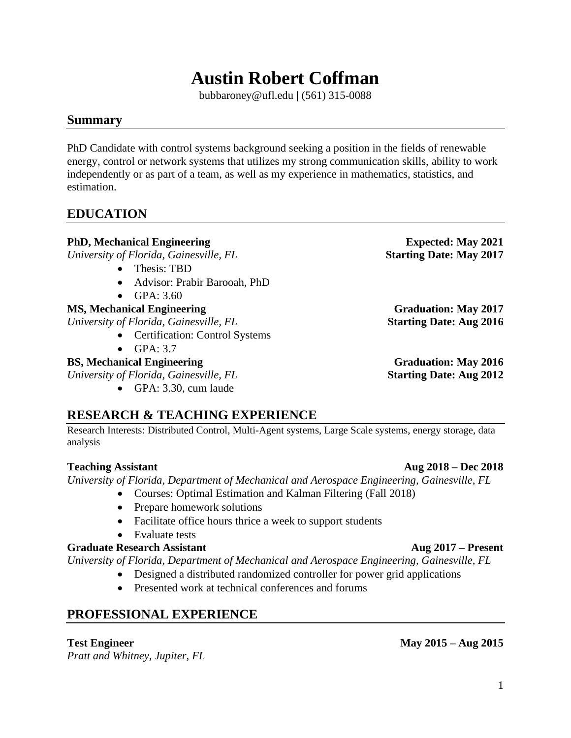# **Austin Robert Coffman**

bubbaroney@ufl.edu **|** (561) 315-0088

## **Summary**

PhD Candidate with control systems background seeking a position in the fields of renewable energy, control or network systems that utilizes my strong communication skills, ability to work independently or as part of a team, as well as my experience in mathematics, statistics, and estimation.

## **EDUCATION**

## **PhD, Mechanical Engineering Expected: May 2021**

*University of Florida, Gainesville, FL* **Starting Date: May 2017**

- Thesis: TBD
- Advisor: Prabir Barooah, PhD
- GPA: 3.60

## **MS, Mechanical Engineering Graduation: May 2017**

*University of Florida, Gainesville, FL* **Starting Date: Aug 2016**

- Certification: Control Systems
- GPA: 3.7

## **BS, Mechanical Engineering Graduation: May 2016**

*University of Florida, Gainesville, FL* **Starting Date: Aug 2012**

• GPA: 3.30, cum laude

## **RESEARCH & TEACHING EXPERIENCE**

Research Interests: Distributed Control, Multi-Agent systems, Large Scale systems, energy storage, data analysis

## **Teaching Assistant Aug 2018 – Dec 2018**

*University of Florida, Department of Mechanical and Aerospace Engineering, Gainesville, FL*

- Courses: Optimal Estimation and Kalman Filtering (Fall 2018)
- Prepare homework solutions
- Facilitate office hours thrice a week to support students
- Evaluate tests

## **Graduate Research Assistant Aug 2017 – Present**

*University of Florida, Department of Mechanical and Aerospace Engineering, Gainesville, FL*

- Designed a distributed randomized controller for power grid applications
- Presented work at technical conferences and forums

## **PROFESSIONAL EXPERIENCE**

## **Test Engineer May 2015 – Aug 2015**

*Pratt and Whitney, Jupiter, FL*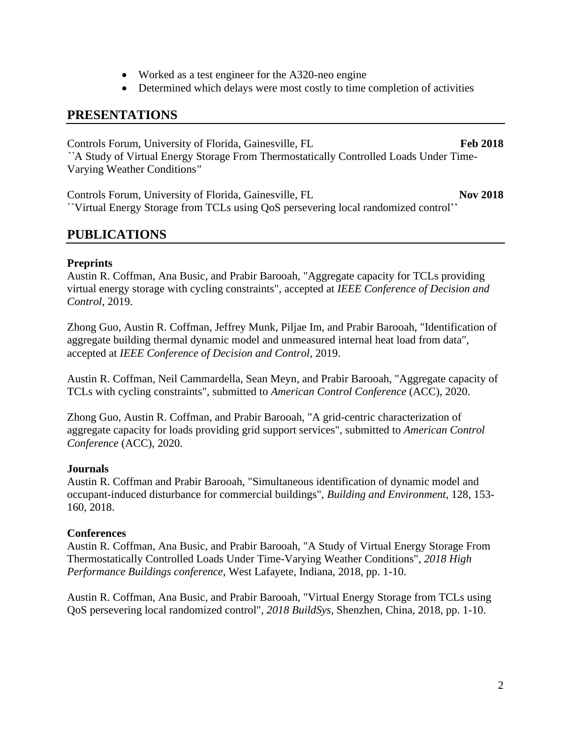- Worked as a test engineer for the A320-neo engine
- Determined which delays were most costly to time completion of activities

## **PRESENTATIONS**

Controls Forum, University of Florida, Gainesville, FL **Feb 2018** *``*A Study of Virtual Energy Storage From Thermostatically Controlled Loads Under Time-Varying Weather Conditions*"*

Controls Forum, University of Florida, Gainesville, FL **Nov 2018** ``Virtual Energy Storage from TCLs using QoS persevering local randomized control''

## **PUBLICATIONS**

#### **Preprints**

Austin R. Coffman, Ana Busic, and Prabir Barooah, "Aggregate capacity for TCLs providing virtual energy storage with cycling constraints", accepted at *IEEE Conference of Decision and Control*, 2019.

Zhong Guo, Austin R. Coffman, Jeffrey Munk, Piljae Im, and Prabir Barooah, "Identification of aggregate building thermal dynamic model and unmeasured internal heat load from data", accepted at *IEEE Conference of Decision and Control*, 2019.

Austin R. Coffman, Neil Cammardella, Sean Meyn, and Prabir Barooah, "Aggregate capacity of TCLs with cycling constraints", submitted to *American Control Conference* (ACC), 2020.

Zhong Guo, Austin R. Coffman, and Prabir Barooah, "A grid-centric characterization of aggregate capacity for loads providing grid support services", submitted to *American Control Conference* (ACC), 2020.

#### **Journals**

Austin R. Coffman and Prabir Barooah, "Simultaneous identification of dynamic model and occupant-induced disturbance for commercial buildings", *Building and Environment*, 128, 153- 160, 2018.

#### **Conferences**

Austin R. Coffman, Ana Busic, and Prabir Barooah, "A Study of Virtual Energy Storage From Thermostatically Controlled Loads Under Time-Varying Weather Conditions", *2018 High Performance Buildings conference*, West Lafayete, Indiana, 2018, pp. 1-10.

Austin R. Coffman, Ana Busic, and Prabir Barooah, "Virtual Energy Storage from TCLs using QoS persevering local randomized control", *2018 BuildSys*, Shenzhen, China, 2018, pp. 1-10.